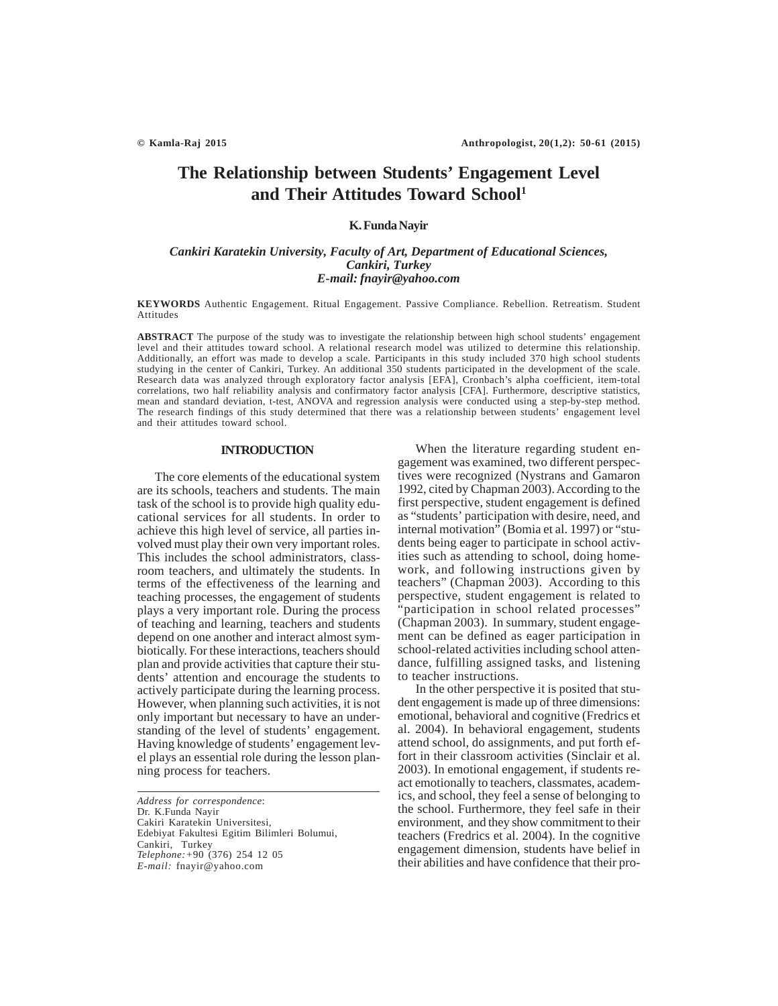# **The Relationship between Students' Engagement Level and Their Attitudes Toward School1**

# **K. Funda Nayir**

# *Cankiri Karatekin University, Faculty of Art, Department of Educational Sciences, Cankiri, Turkey E-mail: fnayir@yahoo.com*

#### **KEYWORDS** Authentic Engagement. Ritual Engagement. Passive Compliance. Rebellion. Retreatism. Student Attitudes

**ABSTRACT** The purpose of the study was to investigate the relationship between high school students' engagement level and their attitudes toward school. A relational research model was utilized to determine this relationship. Additionally, an effort was made to develop a scale. Participants in this study included 370 high school students studying in the center of Cankiri, Turkey. An additional 350 students participated in the development of the scale. Research data was analyzed through exploratory factor analysis [EFA], Cronbach's alpha coefficient, item-total correlations, two half reliability analysis and confirmatory factor analysis [CFA]. Furthermore, descriptive statistics, mean and standard deviation, t-test, ANOVA and regression analysis were conducted using a step-by-step method. The research findings of this study determined that there was a relationship between students' engagement level and their attitudes toward school.

# **INTRODUCTION**

The core elements of the educational system are its schools, teachers and students. The main task of the school is to provide high quality educational services for all students. In order to achieve this high level of service, all parties involved must play their own very important roles. This includes the school administrators, classroom teachers, and ultimately the students. In terms of the effectiveness of the learning and teaching processes, the engagement of students plays a very important role. During the process of teaching and learning, teachers and students depend on one another and interact almost symbiotically. For these interactions, teachers should plan and provide activities that capture their students' attention and encourage the students to actively participate during the learning process. However, when planning such activities, it is not only important but necessary to have an understanding of the level of students' engagement. Having knowledge of students' engagement level plays an essential role during the lesson planning process for teachers.

*Address for correspondence*: Dr. K.Funda Nayir Cakiri Karatekin Universitesi, Edebiyat Fakultesi Egitim Bilimleri Bolumui, Cankiri, Turkey *Telephone:+*90 (376) 254 12 05 *E-mail:* fnayir@yahoo.com

When the literature regarding student engagement was examined, two different perspectives were recognized (Nystrans and Gamaron 1992, cited by Chapman 2003). According to the first perspective, student engagement is defined as "students' participation with desire, need, and internal motivation" (Bomia et al. 1997) or "students being eager to participate in school activities such as attending to school, doing homework, and following instructions given by teachers" (Chapman 2003). According to this perspective, student engagement is related to "participation in school related processes" (Chapman 2003). In summary, student engagement can be defined as eager participation in school-related activities including school attendance, fulfilling assigned tasks, and listening to teacher instructions.

In the other perspective it is posited that student engagement is made up of three dimensions: emotional, behavioral and cognitive (Fredrics et al. 2004). In behavioral engagement, students attend school, do assignments, and put forth effort in their classroom activities (Sinclair et al. 2003). In emotional engagement, if students react emotionally to teachers, classmates, academics, and school, they feel a sense of belonging to the school. Furthermore, they feel safe in their environment, and they show commitment to their teachers (Fredrics et al. 2004). In the cognitive engagement dimension, students have belief in their abilities and have confidence that their pro-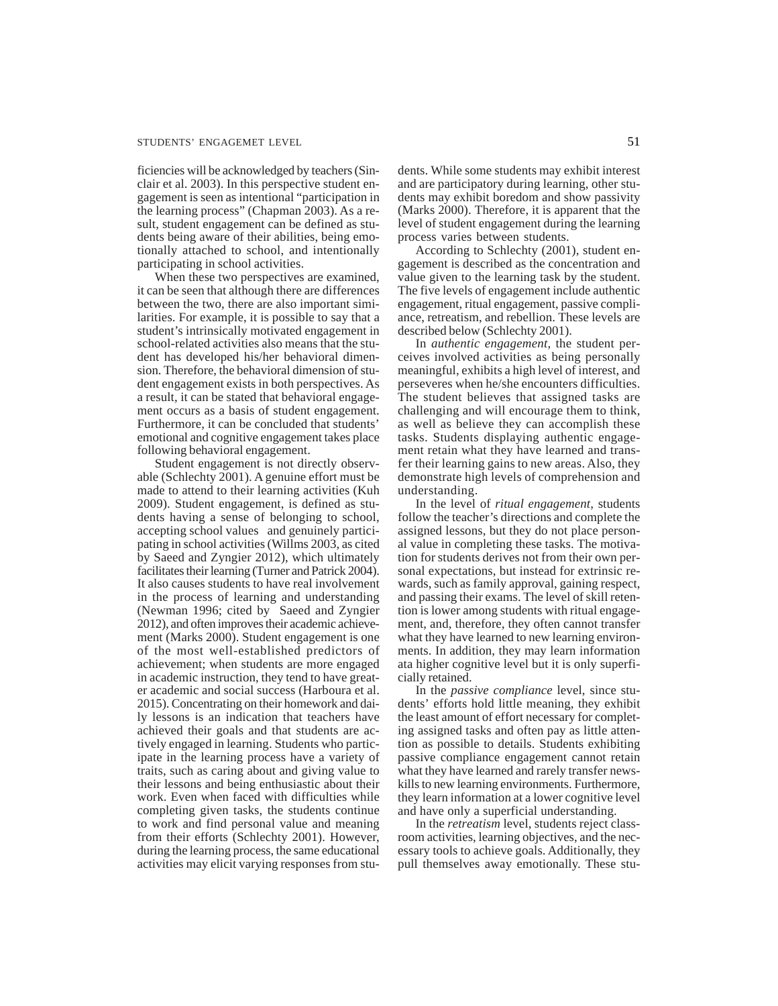#### STUDENTS' ENGAGEMET LEVEL 51

ficiencies will be acknowledged by teachers (Sinclair et al. 2003). In this perspective student engagement is seen as intentional "participation in the learning process" (Chapman 2003). As a result, student engagement can be defined as students being aware of their abilities, being emotionally attached to school, and intentionally participating in school activities.

When these two perspectives are examined, it can be seen that although there are differences between the two, there are also important similarities. For example, it is possible to say that a student's intrinsically motivated engagement in school-related activities also means that the student has developed his/her behavioral dimension. Therefore, the behavioral dimension of student engagement exists in both perspectives. As a result, it can be stated that behavioral engagement occurs as a basis of student engagement. Furthermore, it can be concluded that students' emotional and cognitive engagement takes place following behavioral engagement.

Student engagement is not directly observable (Schlechty 2001). A genuine effort must be made to attend to their learning activities (Kuh 2009). Student engagement, is defined as students having a sense of belonging to school, accepting school values and genuinely participating in school activities (Willms 2003, as cited by Saeed and Zyngier 2012), which ultimately facilitates their learning (Turner and Patrick 2004). It also causes students to have real involvement in the process of learning and understanding (Newman 1996; cited by Saeed and Zyngier 2012), and often improves their academic achievement (Marks 2000). Student engagement is one of the most well-established predictors of achievement; when students are more engaged in academic instruction, they tend to have greater academic and social success (Harboura et al. 2015). Concentrating on their homework and daily lessons is an indication that teachers have achieved their goals and that students are actively engaged in learning. Students who participate in the learning process have a variety of traits, such as caring about and giving value to their lessons and being enthusiastic about their work. Even when faced with difficulties while completing given tasks, the students continue to work and find personal value and meaning from their efforts (Schlechty 2001). However, during the learning process, the same educational activities may elicit varying responses from students. While some students may exhibit interest and are participatory during learning, other students may exhibit boredom and show passivity (Marks 2000). Therefore, it is apparent that the level of student engagement during the learning process varies between students.

According to Schlechty (2001), student engagement is described as the concentration and value given to the learning task by the student. The five levels of engagement include authentic engagement, ritual engagement, passive compliance, retreatism, and rebellion. These levels are described below (Schlechty 2001).

In *authentic engagement,* the student perceives involved activities as being personally meaningful, exhibits a high level of interest, and perseveres when he/she encounters difficulties. The student believes that assigned tasks are challenging and will encourage them to think, as well as believe they can accomplish these tasks. Students displaying authentic engagement retain what they have learned and transfer their learning gains to new areas. Also, they demonstrate high levels of comprehension and understanding.

In the level of *ritual engagement,* students follow the teacher's directions and complete the assigned lessons, but they do not place personal value in completing these tasks. The motivation for students derives not from their own personal expectations, but instead for extrinsic rewards, such as family approval, gaining respect, and passing their exams. The level of skill retention is lower among students with ritual engagement, and, therefore, they often cannot transfer what they have learned to new learning environments. In addition, they may learn information ata higher cognitive level but it is only superficially retained.

In the *passive compliance* level, since students' efforts hold little meaning, they exhibit the least amount of effort necessary for completing assigned tasks and often pay as little attention as possible to details. Students exhibiting passive compliance engagement cannot retain what they have learned and rarely transfer newskills to new learning environments. Furthermore, they learn information at a lower cognitive level and have only a superficial understanding.

In the *retreatism* level, students reject classroom activities, learning objectives, and the necessary tools to achieve goals. Additionally, they pull themselves away emotionally. These stu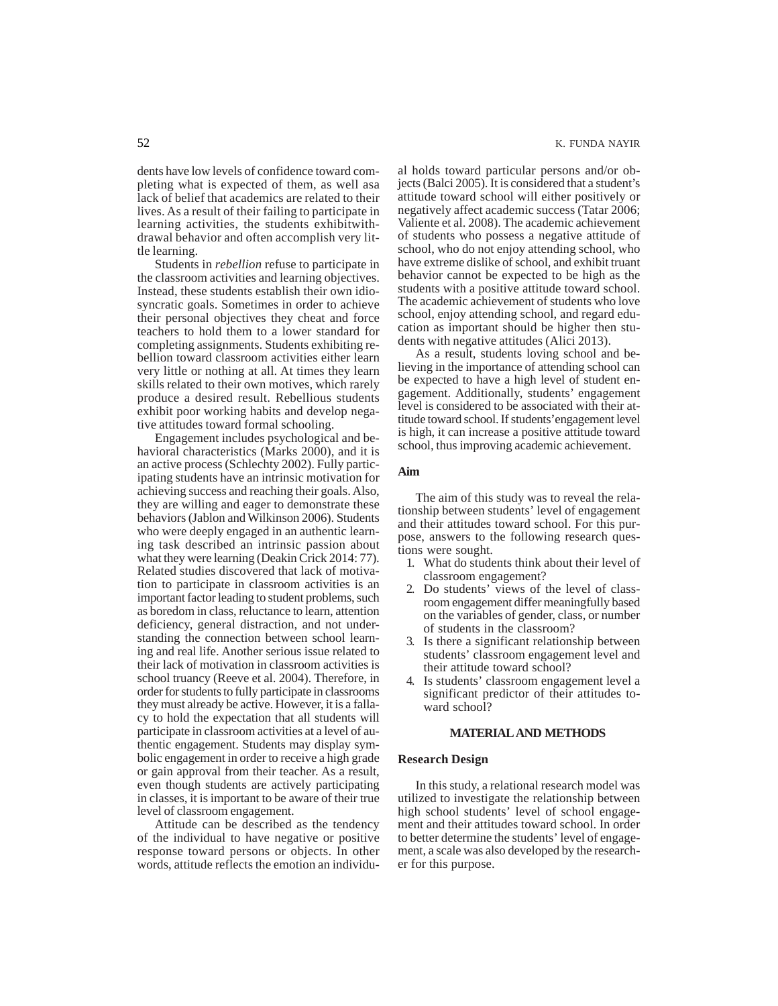dents have low levels of confidence toward completing what is expected of them, as well asa lack of belief that academics are related to their lives. As a result of their failing to participate in learning activities, the students exhibitwithdrawal behavior and often accomplish very little learning.

Students in *rebellion* refuse to participate in the classroom activities and learning objectives. Instead, these students establish their own idiosyncratic goals. Sometimes in order to achieve their personal objectives they cheat and force teachers to hold them to a lower standard for completing assignments. Students exhibiting rebellion toward classroom activities either learn very little or nothing at all. At times they learn skills related to their own motives, which rarely produce a desired result. Rebellious students exhibit poor working habits and develop negative attitudes toward formal schooling.

Engagement includes psychological and behavioral characteristics (Marks 2000), and it is an active process (Schlechty 2002). Fully participating students have an intrinsic motivation for achieving success and reaching their goals. Also, they are willing and eager to demonstrate these behaviors (Jablon and Wilkinson 2006). Students who were deeply engaged in an authentic learning task described an intrinsic passion about what they were learning (Deakin Crick 2014: 77). Related studies discovered that lack of motivation to participate in classroom activities is an important factor leading to student problems, such as boredom in class, reluctance to learn, attention deficiency, general distraction, and not understanding the connection between school learning and real life. Another serious issue related to their lack of motivation in classroom activities is school truancy (Reeve et al. 2004). Therefore, in order for students to fully participate in classrooms they must already be active. However, it is a fallacy to hold the expectation that all students will participate in classroom activities at a level of authentic engagement. Students may display symbolic engagement in order to receive a high grade or gain approval from their teacher. As a result, even though students are actively participating in classes, it is important to be aware of their true level of classroom engagement.

Attitude can be described as the tendency of the individual to have negative or positive response toward persons or objects. In other words, attitude reflects the emotion an individual holds toward particular persons and/or objects (Balci 2005). It is considered that a student's attitude toward school will either positively or negatively affect academic success (Tatar 2006; Valiente et al. 2008). The academic achievement of students who possess a negative attitude of school, who do not enjoy attending school, who have extreme dislike of school, and exhibit truant behavior cannot be expected to be high as the students with a positive attitude toward school. The academic achievement of students who love school, enjoy attending school, and regard education as important should be higher then students with negative attitudes (Alici 2013).

As a result, students loving school and believing in the importance of attending school can be expected to have a high level of student engagement. Additionally, students' engagement level is considered to be associated with their attitude toward school. If students'engagement level is high, it can increase a positive attitude toward school, thus improving academic achievement.

### **Aim**

The aim of this study was to reveal the relationship between students' level of engagement and their attitudes toward school. For this purpose, answers to the following research questions were sought.

- 1. What do students think about their level of classroom engagement?
- 2. Do students' views of the level of classroom engagement differ meaningfully based on the variables of gender, class, or number of students in the classroom?
- 3. Is there a significant relationship between students' classroom engagement level and their attitude toward school?
- 4. Is students' classroom engagement level a significant predictor of their attitudes toward school?

#### **MATERIAL AND METHODS**

### **Research Design**

In this study, a relational research model was utilized to investigate the relationship between high school students' level of school engagement and their attitudes toward school. In order to better determine the students' level of engagement, a scale was also developed by the researcher for this purpose.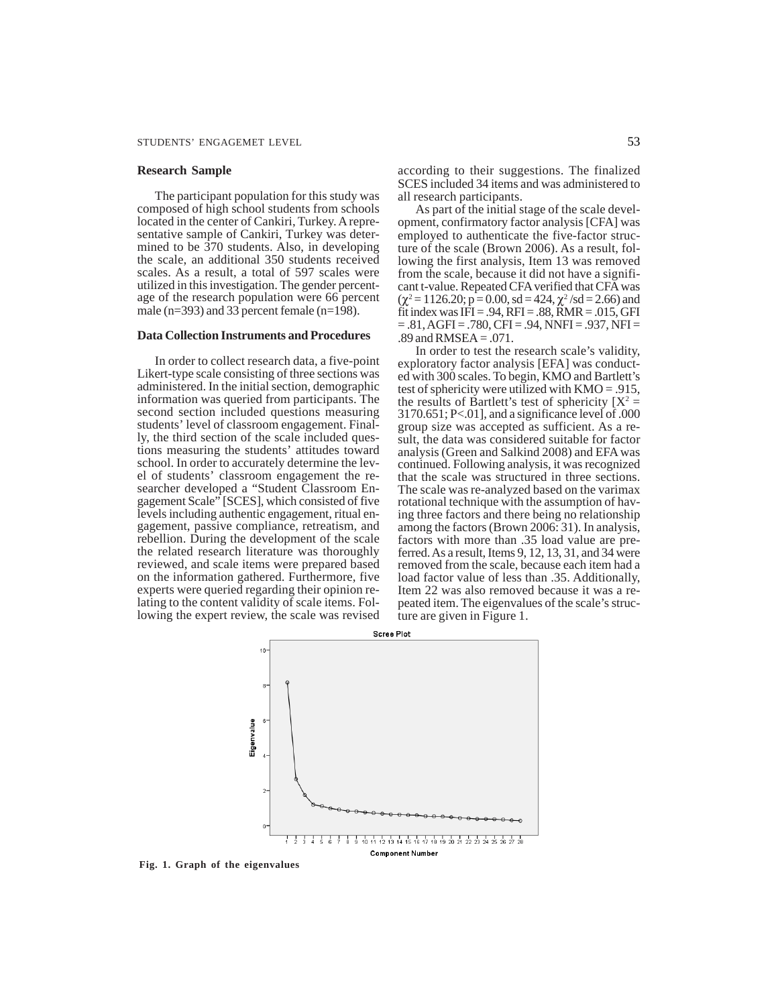#### **Research Sample**

The participant population for this study was composed of high school students from schools located in the center of Cankiri, Turkey. A representative sample of Cankiri, Turkey was determined to be 370 students. Also, in developing the scale, an additional 350 students received scales. As a result, a total of 597 scales were utilized in this investigation. The gender percentage of the research population were 66 percent male (n=393) and 33 percent female (n=198).

# **Data Collection Instruments and Procedures**

In order to collect research data, a five-point Likert-type scale consisting of three sections was administered. In the initial section, demographic information was queried from participants. The second section included questions measuring students' level of classroom engagement. Finally, the third section of the scale included questions measuring the students' attitudes toward school. In order to accurately determine the level of students' classroom engagement the researcher developed a "Student Classroom Engagement Scale" [SCES], which consisted of five levels including authentic engagement, ritual engagement, passive compliance, retreatism, and rebellion. During the development of the scale the related research literature was thoroughly reviewed, and scale items were prepared based on the information gathered. Furthermore, five experts were queried regarding their opinion relating to the content validity of scale items. Following the expert review, the scale was revised

according to their suggestions. The finalized SCES included 34 items and was administered to all research participants.

As part of the initial stage of the scale development, confirmatory factor analysis [CFA] was employed to authenticate the five-factor structure of the scale (Brown 2006). As a result, following the first analysis, Item 13 was removed from the scale, because it did not have a significant t-value. Repeated CFA verified that CFA was  $(\chi^2 = 1126.20; \vec{p} = 0.00, \text{ sd} = 424, \chi^2/\text{sd} = 2.66)$  and fit index was  $IFI = .94$ ,  $RFI = .88$ ,  $RMR = .015$ , GFI  $= 0.81, \text{AGFI} = 0.780, \text{CFI} = 0.94, \text{NNFI} = 0.937, \text{NFI} = 0.937, \text{NFI} = 0.937, \text{NFI} = 0.937, \text{NFI} = 0.937, \text{NFI} = 0.937, \text{NFI} = 0.937, \text{NFI} = 0.937, \text{NFI} = 0.937, \text{NFI} = 0.937, \text{NFI} = 0.937, \text{NFI} = 0.937, \text{NFI} = 0.937, \text{NF$ .89 and RMSEA = .071.

In order to test the research scale's validity, exploratory factor analysis [EFA] was conducted with 300 scales. To begin, KMO and Bartlett's test of sphericity were utilized with KMO = .915, the results of Bartlett's test of sphericity  $[X^2 =$  $3170.651$ ; P<.01], and a significance level of .000 group size was accepted as sufficient. As a result, the data was considered suitable for factor analysis (Green and Salkind 2008) and EFA was continued. Following analysis, it was recognized that the scale was structured in three sections. The scale was re-analyzed based on the varimax rotational technique with the assumption of having three factors and there being no relationship among the factors (Brown 2006: 31). In analysis, factors with more than .35 load value are preferred. As a result, Items 9, 12, 13, 31, and 34 were removed from the scale, because each item had a load factor value of less than .35. Additionally, Item 22 was also removed because it was a repeated item. The eigenvalues of the scale's structure are given in Figure 1.



**Fig. 1. Graph of the eigenvalues**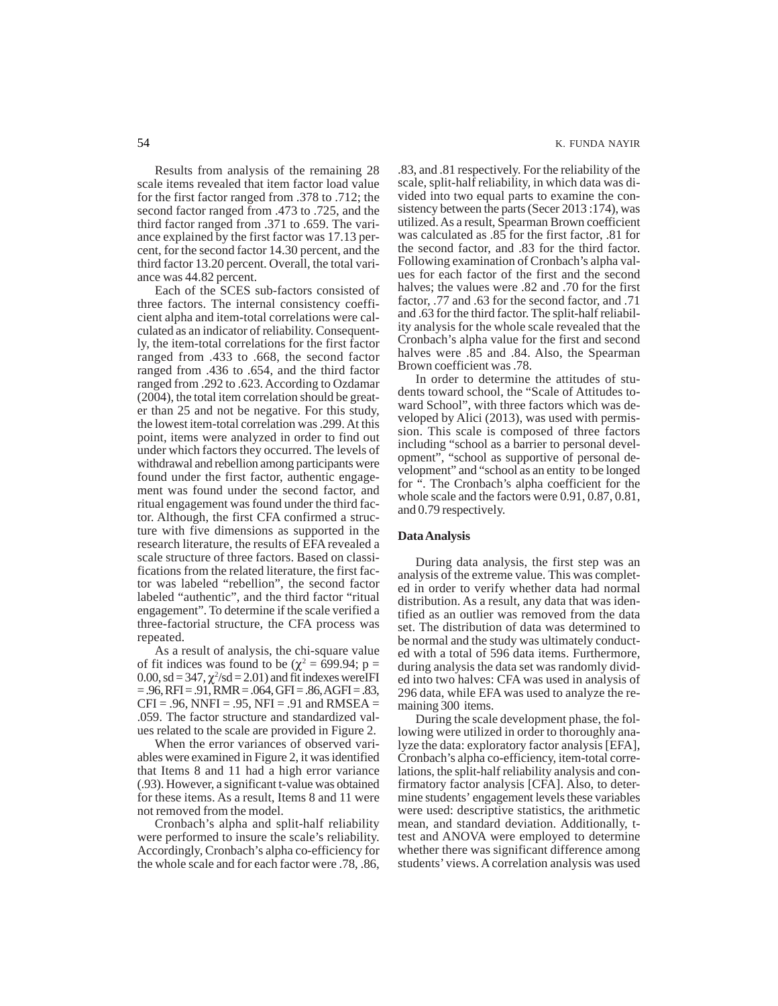Results from analysis of the remaining 28 scale items revealed that item factor load value for the first factor ranged from .378 to .712; the second factor ranged from .473 to .725, and the third factor ranged from .371 to .659. The variance explained by the first factor was 17.13 percent, for the second factor 14.30 percent, and the third factor 13.20 percent. Overall, the total variance was 44.82 percent.

Each of the SCES sub-factors consisted of three factors. The internal consistency coefficient alpha and item-total correlations were calculated as an indicator of reliability. Consequently, the item-total correlations for the first factor ranged from .433 to .668, the second factor ranged from .436 to .654, and the third factor ranged from .292 to .623. According to Ozdamar (2004), the total item correlation should be greater than 25 and not be negative. For this study, the lowest item-total correlation was .299. At this point, items were analyzed in order to find out under which factors they occurred. The levels of withdrawal and rebellion among participants were found under the first factor, authentic engagement was found under the second factor, and ritual engagement was found under the third factor. Although, the first CFA confirmed a structure with five dimensions as supported in the research literature, the results of EFA revealed a scale structure of three factors. Based on classifications from the related literature, the first factor was labeled "rebellion", the second factor labeled "authentic", and the third factor "ritual engagement". To determine if the scale verified a three-factorial structure, the CFA process was repeated.

As a result of analysis, the chi-square value of fit indices was found to be ( $\chi^2$  = 699.94; p = 0.00, sd =  $347$ ,  $\chi^2$ /sd = 2.01) and fit indexes wereIFI  $= .96, RFI = .91, RMR = .064, GFI = .86, AGFI = .83,$  $CFI = .96$ , NNFI = .95, NFI = .91 and RMSEA = .059. The factor structure and standardized values related to the scale are provided in Figure 2.

When the error variances of observed variables were examined in Figure 2, it was identified that Items 8 and 11 had a high error variance (.93). However, a significant t-value was obtained for these items. As a result, Items 8 and 11 were not removed from the model.

Cronbach's alpha and split-half reliability were performed to insure the scale's reliability. Accordingly, Cronbach's alpha co-efficiency for the whole scale and for each factor were .78, .86, .83, and .81 respectively. For the reliability of the scale, split-half reliability, in which data was divided into two equal parts to examine the consistency between the parts (Secer 2013 :174), was utilized. As a result, Spearman Brown coefficient was calculated as .85 for the first factor, .81 for the second factor, and .83 for the third factor. Following examination of Cronbach's alpha values for each factor of the first and the second halves; the values were .82 and .70 for the first factor, .77 and .63 for the second factor, and .71 and .63 for the third factor. The split-half reliability analysis for the whole scale revealed that the Cronbach's alpha value for the first and second halves were .85 and .84. Also, the Spearman Brown coefficient was .78.

In order to determine the attitudes of students toward school, the "Scale of Attitudes toward School", with three factors which was developed by Alici (2013), was used with permission. This scale is composed of three factors including "school as a barrier to personal development", "school as supportive of personal development" and "school as an entity to be longed for ". The Cronbach's alpha coefficient for the whole scale and the factors were 0.91, 0.87, 0.81, and 0.79 respectively.

### **Data Analysis**

During data analysis, the first step was an analysis of the extreme value. This was completed in order to verify whether data had normal distribution. As a result, any data that was identified as an outlier was removed from the data set. The distribution of data was determined to be normal and the study was ultimately conducted with a total of 596 data items. Furthermore, during analysis the data set was randomly divided into two halves: CFA was used in analysis of 296 data, while EFA was used to analyze the remaining 300 items.

During the scale development phase, the following were utilized in order to thoroughly analyze the data: exploratory factor analysis [EFA], Cronbach's alpha co-efficiency, item-total correlations, the split-half reliability analysis and confirmatory factor analysis [CFA]. Also, to determine students' engagement levels these variables were used: descriptive statistics, the arithmetic mean, and standard deviation. Additionally, ttest and ANOVA were employed to determine whether there was significant difference among students' views. A correlation analysis was used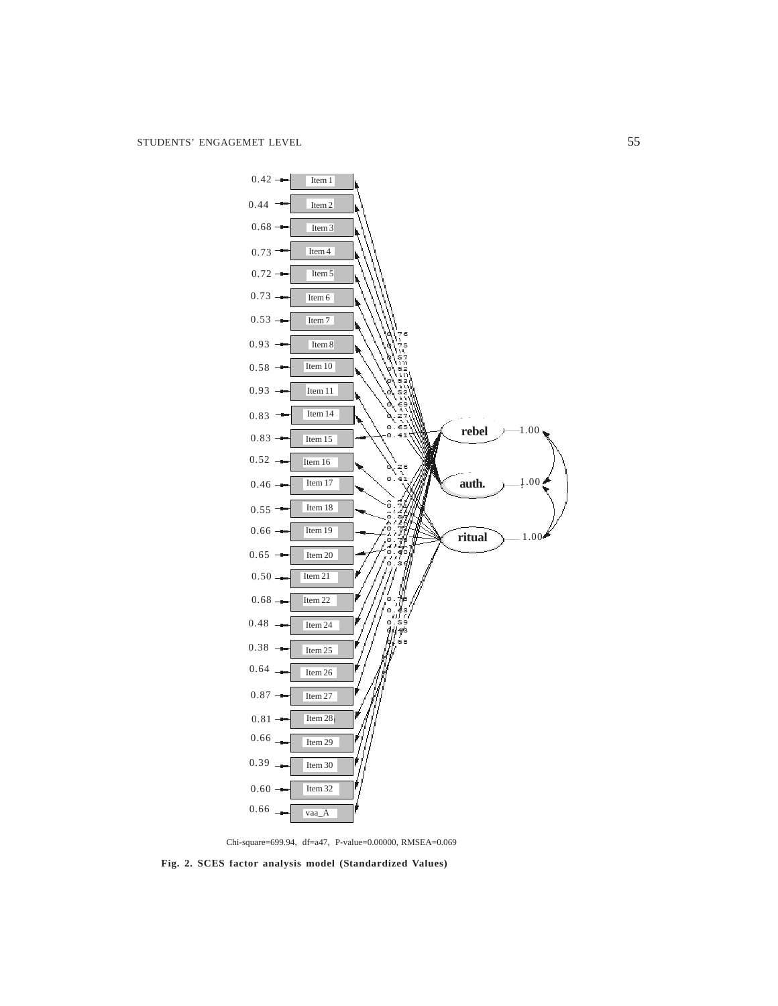

Chi-square=699.94, df=a47, P-value=0.00000, RMSEA=0.069

**Fig. 2. SCES factor analysis model (Standardized Values)**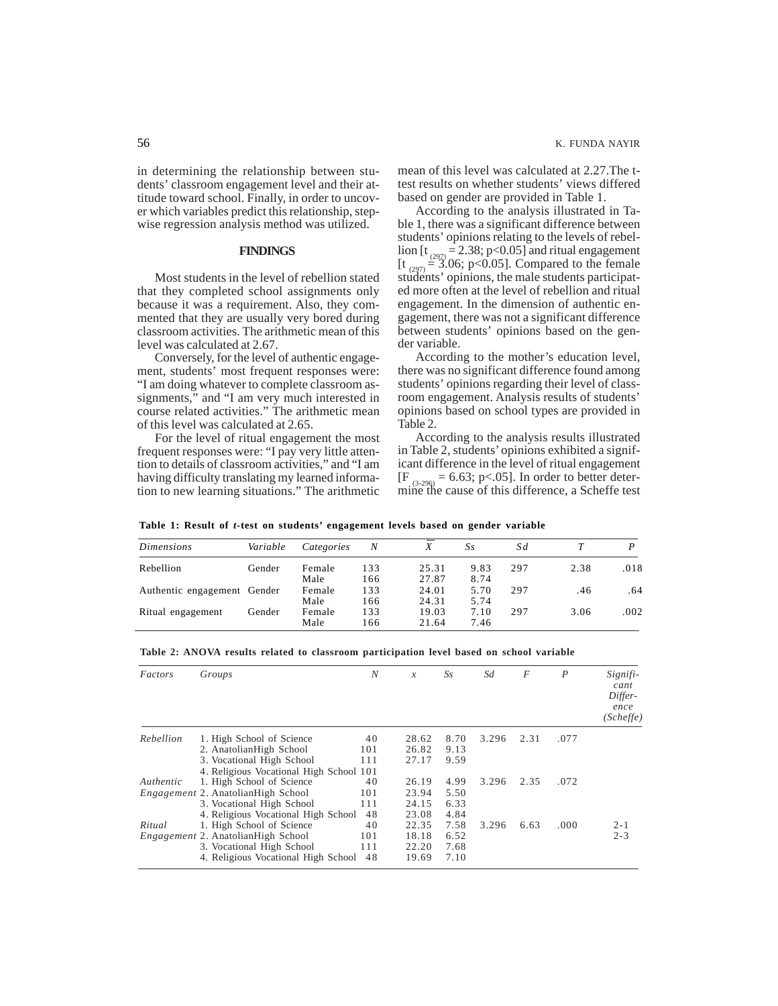in determining the relationship between students' classroom engagement level and their attitude toward school. Finally, in order to uncover which variables predict this relationship, stepwise regression analysis method was utilized.

# **FINDINGS**

Most students in the level of rebellion stated that they completed school assignments only because it was a requirement. Also, they commented that they are usually very bored during classroom activities. The arithmetic mean of this level was calculated at 2.67.

Conversely, for the level of authentic engagement, students' most frequent responses were: "I am doing whatever to complete classroom assignments," and "I am very much interested in course related activities." The arithmetic mean of this level was calculated at 2.65.

For the level of ritual engagement the most frequent responses were: "I pay very little attention to details of classroom activities," and "I am having difficulty translating my learned information to new learning situations." The arithmetic mean of this level was calculated at 2.27.The ttest results on whether students' views differed based on gender are provided in Table 1.

According to the analysis illustrated in Table 1, there was a significant difference between students' opinions relating to the levels of rebellion [t<sub>(297)</sub> = 2.38; p<0.05] and ritual engagement  $[t_{(297)} = 3.06; p<0.05]$ . Compared to the female students' opinions, the male students participated more often at the level of rebellion and ritual engagement. In the dimension of authentic engagement, there was not a significant difference between students' opinions based on the gender variable.

According to the mother's education level, there was no significant difference found among students' opinions regarding their level of classroom engagement. Analysis results of students' opinions based on school types are provided in Table 2.

According to the analysis results illustrated in Table 2, students' opinions exhibited a significant difference in the level of ritual engagement  $[F_{(3-296)} = 6.63; p<0.05]$ . In order to better determine the cause of this difference, a Scheffe test

**Table 1: Result of** *t***-test on students' engagement levels based on gender variable**

| <i>Dimensions</i>           | Variable | Categories | N   | __    | Ss   | Sd  |      |      |
|-----------------------------|----------|------------|-----|-------|------|-----|------|------|
| Rebellion                   | Gender   | Female     | 133 | 25.31 | 9.83 | 297 | 2.38 | .018 |
|                             |          | Male       | 166 | 27.87 | 8.74 |     |      |      |
| Authentic engagement Gender |          | Female     | 133 | 24.01 | 5.70 | 297 | .46  | .64  |
|                             |          | Male       | 166 | 24.31 | 5.74 |     |      |      |
| Ritual engagement           | Gender   | Female     | 133 | 19.03 | 7.10 | 297 | 3.06 | .002 |
|                             |          | Male       | 166 | 21.64 | 7.46 |     |      |      |

| Table 2: ANOVA results related to classroom participation level based on school variable |  |  |  |  |  |
|------------------------------------------------------------------------------------------|--|--|--|--|--|
|------------------------------------------------------------------------------------------|--|--|--|--|--|

| Factors   | Groups                                    | N   | $\mathcal{X}$ | Ss   | Sd    | F    | $\boldsymbol{P}$ | Signifi-<br>cant<br>Differ-<br>ence<br>(Scheffe) |
|-----------|-------------------------------------------|-----|---------------|------|-------|------|------------------|--------------------------------------------------|
| Rebellion | 1. High School of Science                 | 40  | 28.62         | 8.70 | 3.296 | 2.31 | .077             |                                                  |
|           | 2. AnatolianHigh School                   | 101 | 26.82         | 9.13 |       |      |                  |                                                  |
|           | 3. Vocational High School                 | 111 | 27.17         | 9.59 |       |      |                  |                                                  |
|           | 4. Religious Vocational High School 101   |     |               |      |       |      |                  |                                                  |
| Authentic | 1. High School of Science                 | 40  | 26.19         | 4.99 | 3.296 | 2.35 | .072             |                                                  |
|           | Engagement 2. AnatolianHigh School        | 101 | 23.94         | 5.50 |       |      |                  |                                                  |
|           | 3. Vocational High School                 | 111 | 24.15         | 6.33 |       |      |                  |                                                  |
|           | 4. Religious Vocational High School       | 48  | 23.08         | 4.84 |       |      |                  |                                                  |
| Ritual    | 1. High School of Science                 | 40  | 22.35         | 7.58 | 3.296 | 6.63 | .000             | $2 - 1$                                          |
|           | <i>Engagement</i> 2. AnatolianHigh School | 101 | 18.18         | 6.52 |       |      |                  | $2 - 3$                                          |
|           | 3. Vocational High School                 | 111 | 22.20         | 7.68 |       |      |                  |                                                  |
|           | 4. Religious Vocational High School       | 48  | 19.69         | 7.10 |       |      |                  |                                                  |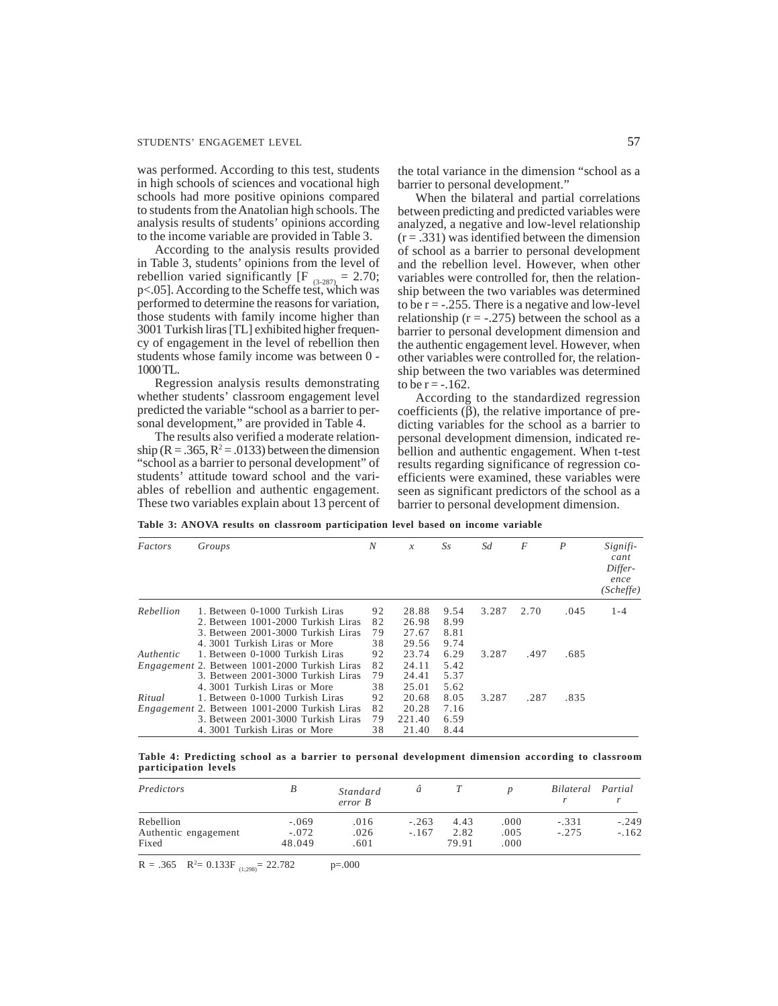was performed. According to this test, students in high schools of sciences and vocational high schools had more positive opinions compared to students from the Anatolian high schools. The analysis results of students' opinions according to the income variable are provided in Table 3.

According to the analysis results provided in Table 3, students' opinions from the level of rebellion varied significantly  $[F_{(3-287)} = 2.70;$ p<.05]. According to the Scheffe test, which was performed to determine the reasons for variation, those students with family income higher than 3001 Turkish liras [TL] exhibited higher frequency of engagement in the level of rebellion then students whose family income was between 0 - 1000 TL.

Regression analysis results demonstrating whether students' classroom engagement level predicted the variable "school as a barrier to personal development," are provided in Table 4.

The results also verified a moderate relationship ( $R = .365$ ,  $R^2 = .0133$ ) between the dimension "school as a barrier to personal development" of students' attitude toward school and the variables of rebellion and authentic engagement. These two variables explain about 13 percent of the total variance in the dimension "school as a barrier to personal development."

When the bilateral and partial correlations between predicting and predicted variables were analyzed, a negative and low-level relationship  $(r = .331)$  was identified between the dimension of school as a barrier to personal development and the rebellion level. However, when other variables were controlled for, then the relationship between the two variables was determined to be  $r = -0.255$ . There is a negative and low-level relationship ( $r = -.275$ ) between the school as a barrier to personal development dimension and the authentic engagement level. However, when other variables were controlled for, the relationship between the two variables was determined to be  $r = -0.162$ .

According to the standardized regression coefficients (β), the relative importance of predicting variables for the school as a barrier to personal development dimension, indicated rebellion and authentic engagement. When t-test results regarding significance of regression coefficients were examined, these variables were seen as significant predictors of the school as a barrier to personal development dimension.

**Table 3: ANOVA results on classroom participation level based on income variable**

| Factors   | Groups                                               | N        | $\mathcal{X}$ | Ss   | Sd    | F    | $\boldsymbol{P}$ | Signifi-<br>cant<br>Differ-<br>ence<br>(Scheffe) |
|-----------|------------------------------------------------------|----------|---------------|------|-------|------|------------------|--------------------------------------------------|
| Rebellion | 1. Between 0-1000 Turkish Liras                      | 92<br>82 | 28.88         | 9.54 | 3.287 | 2.70 | .045             | $1 - 4$                                          |
|           | 2. Between 1001-2000 Turkish Liras                   |          | 26.98         | 8.99 |       |      |                  |                                                  |
|           | 3. Between 2001-3000 Turkish Liras                   | 79       | 27.67         | 8.81 |       |      |                  |                                                  |
|           | 4.3001 Turkish Liras or More                         | 38       | 29.56         | 9.74 |       |      |                  |                                                  |
| Authentic | 1. Between 0-1000 Turkish Liras                      | 92       | 23.74         | 6.29 | 3.287 | .497 | .685             |                                                  |
|           | <i>Engagement</i> 2. Between 1001-2000 Turkish Liras | 82       | 24.11         | 5.42 |       |      |                  |                                                  |
|           | 3. Between 2001-3000 Turkish Liras                   | 79       | 24.41         | 5.37 |       |      |                  |                                                  |
|           | 4.3001 Turkish Liras or More                         | 38       | 25.01         | 5.62 |       |      |                  |                                                  |
| Ritual    | 1. Between 0-1000 Turkish Liras                      | 92       | 20.68         | 8.05 | 3.287 | .287 | .835             |                                                  |
|           | <i>Engagement</i> 2. Between 1001-2000 Turkish Liras | 82       | 20.28         | 7.16 |       |      |                  |                                                  |
|           | 3. Between 2001-3000 Turkish Liras                   | 79       | 221.40        | 6.59 |       |      |                  |                                                  |
|           | 4.3001 Turkish Liras or More                         | 38       | 21.40         | 8.44 |       |      |                  |                                                  |

**Table 4: Predicting school as a barrier to personal development dimension according to classroom participation levels**

| Predictors           |         | Standard<br>error B | ã       |       |      | <i>Bilateral</i> | Partial |
|----------------------|---------|---------------------|---------|-------|------|------------------|---------|
| Rebellion            | $-.069$ | .016                | $-.263$ | 4.43  | .000 | $-.331$          | $-.249$ |
| Authentic engagement | $-.072$ | .026                | $-.167$ | 2.82  | .005 | $-.275$          | $-.162$ |
| Fixed                | 48.049  | .601                |         | 79.91 | .000 |                  |         |

 $R = .365$   $R^2 = 0.133F$ <sub>(1;298)</sub> = 22.782 p=.000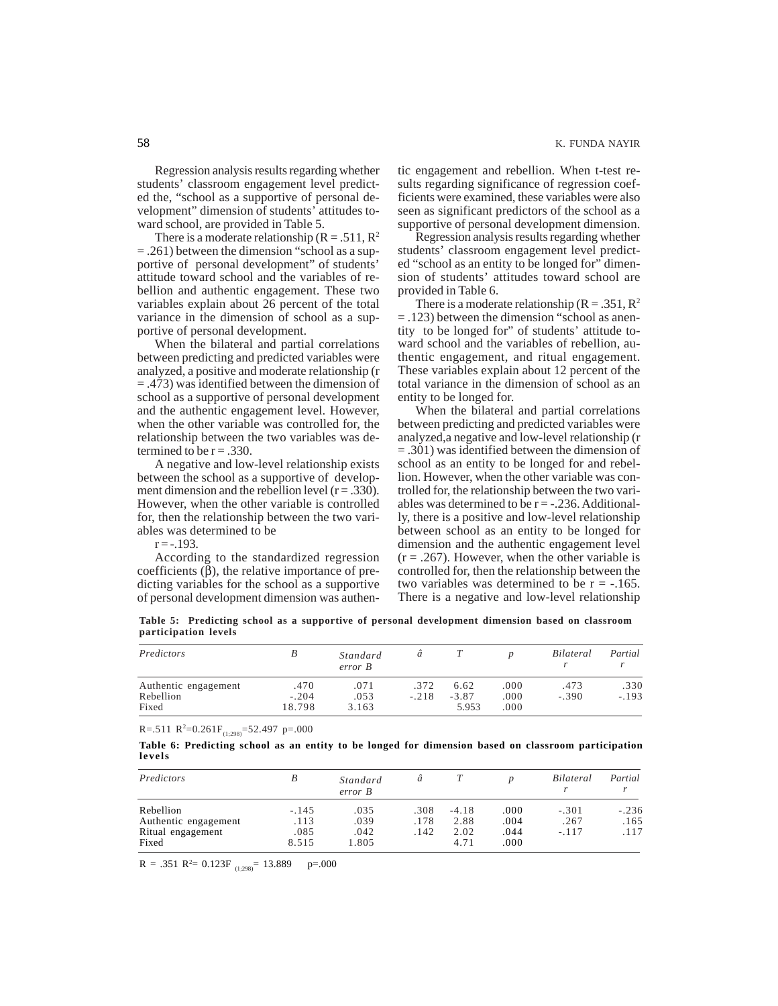Regression analysis results regarding whether students' classroom engagement level predicted the, "school as a supportive of personal development" dimension of students' attitudes toward school, are provided in Table 5.

There is a moderate relationship  $(R = .511, R^2)$ = .261) between the dimension "school as a supportive of personal development" of students' attitude toward school and the variables of rebellion and authentic engagement. These two variables explain about 26 percent of the total variance in the dimension of school as a supportive of personal development.

When the bilateral and partial correlations between predicting and predicted variables were analyzed, a positive and moderate relationship (r = .473) was identified between the dimension of school as a supportive of personal development and the authentic engagement level. However, when the other variable was controlled for, the relationship between the two variables was determined to be  $r = .330$ .

A negative and low-level relationship exists between the school as a supportive of development dimension and the rebellion level  $(r = .330)$ . However, when the other variable is controlled for, then the relationship between the two variables was determined to be

 $r = -.193$ .

According to the standardized regression coefficients  $(β)$ , the relative importance of predicting variables for the school as a supportive of personal development dimension was authentic engagement and rebellion. When t-test results regarding significance of regression coefficients were examined, these variables were also seen as significant predictors of the school as a supportive of personal development dimension.

Regression analysis results regarding whether students' classroom engagement level predicted "school as an entity to be longed for" dimension of students' attitudes toward school are provided in Table 6.

There is a moderate relationship  $(R = .351, R^2)$ = .123) between the dimension "school as anentity to be longed for" of students' attitude toward school and the variables of rebellion, authentic engagement, and ritual engagement. These variables explain about 12 percent of the total variance in the dimension of school as an entity to be longed for.

When the bilateral and partial correlations between predicting and predicted variables were analyzed,a negative and low-level relationship (r = .301) was identified between the dimension of school as an entity to be longed for and rebellion. However, when the other variable was controlled for, the relationship between the two variables was determined to be  $r = -.236$ . Additionally, there is a positive and low-level relationship between school as an entity to be longed for dimension and the authentic engagement level  $(r = .267)$ . However, when the other variable is controlled for, then the relationship between the two variables was determined to be  $r = -165$ . There is a negative and low-level relationship

**Table 5: Predicting school as a supportive of personal development dimension based on classroom participation levels**

| Predictors           |         | Standard<br>error B | а       |         |      | <i>Bilateral</i> | Partial |
|----------------------|---------|---------------------|---------|---------|------|------------------|---------|
| Authentic engagement | .470    | .071                | .372    | 6.62    | .000 | .473             | .330    |
| Rebellion            | $-.204$ | .053                | $-.218$ | $-3.87$ | .000 | $-.390$          | $-.193$ |
| Fixed                | 18.798  | 3.163               |         | 5.953   | .000 |                  |         |

 $R = 0.511 R^2 = 0.261 F_{(1,298)} = 52.497 p = 0.000$ 

|        | Table 6: Predicting school as an entity to be longed for dimension based on classroom participation |  |  |  |  |  |  |  |
|--------|-----------------------------------------------------------------------------------------------------|--|--|--|--|--|--|--|
| levels |                                                                                                     |  |  |  |  |  |  |  |

| Predictors           | В       | Standard<br>error B | a    |         |      | <i>Bilateral</i> | Partial |
|----------------------|---------|---------------------|------|---------|------|------------------|---------|
| Rebellion            | $-.145$ | .035                | .308 | $-4.18$ | .000 | $-.301$          | $-.236$ |
| Authentic engagement | .113    | .039                | .178 | 2.88    | .004 | .267             | .165    |
| Ritual engagement    | .085    | .042                | .142 | 2.02    | .044 | $-117$           | .117    |
| Fixed                | 8.515   | 1.805               |      | 4.71    | .000 |                  |         |

 $R = .351 R^2 = 0.123F_{(1,298)} = 13.889$  p=.000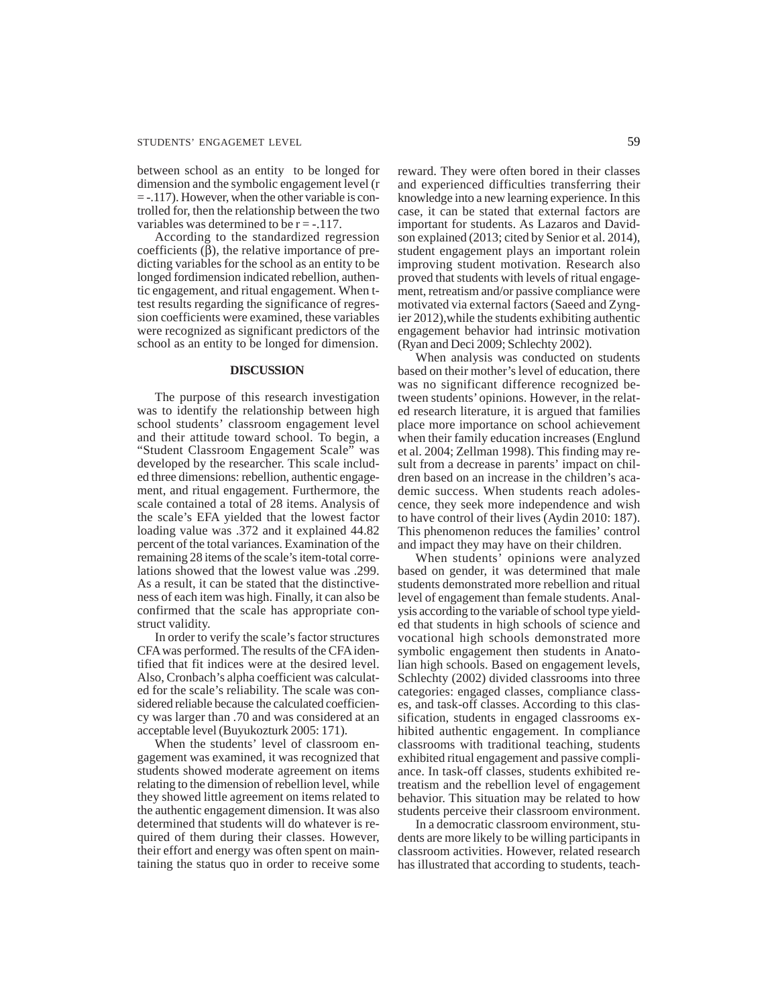between school as an entity to be longed for dimension and the symbolic engagement level (r = -.117). However, when the other variable is controlled for, then the relationship between the two variables was determined to be  $r = -0.117$ .

According to the standardized regression coefficients (β), the relative importance of predicting variables for the school as an entity to be longed fordimension indicated rebellion, authentic engagement, and ritual engagement. When ttest results regarding the significance of regression coefficients were examined, these variables were recognized as significant predictors of the school as an entity to be longed for dimension.

# **DISCUSSION**

The purpose of this research investigation was to identify the relationship between high school students' classroom engagement level and their attitude toward school. To begin, a "Student Classroom Engagement Scale" was developed by the researcher. This scale included three dimensions: rebellion, authentic engagement, and ritual engagement. Furthermore, the scale contained a total of 28 items. Analysis of the scale's EFA yielded that the lowest factor loading value was .372 and it explained 44.82 percent of the total variances. Examination of the remaining 28 items of the scale's item-total correlations showed that the lowest value was .299. As a result, it can be stated that the distinctiveness of each item was high. Finally, it can also be confirmed that the scale has appropriate construct validity.

In order to verify the scale's factor structures CFA was performed. The results of the CFA identified that fit indices were at the desired level. Also, Cronbach's alpha coefficient was calculated for the scale's reliability. The scale was considered reliable because the calculated coefficiency was larger than .70 and was considered at an acceptable level (Buyukozturk 2005: 171).

When the students' level of classroom engagement was examined, it was recognized that students showed moderate agreement on items relating to the dimension of rebellion level, while they showed little agreement on items related to the authentic engagement dimension. It was also determined that students will do whatever is required of them during their classes. However, their effort and energy was often spent on maintaining the status quo in order to receive some

reward. They were often bored in their classes and experienced difficulties transferring their knowledge into a new learning experience. In this case, it can be stated that external factors are important for students. As Lazaros and Davidson explained (2013; cited by Senior et al. 2014), student engagement plays an important rolein improving student motivation. Research also proved that students with levels of ritual engagement, retreatism and/or passive compliance were motivated via external factors (Saeed and Zyngier 2012),while the students exhibiting authentic engagement behavior had intrinsic motivation (Ryan and Deci 2009; Schlechty 2002).

When analysis was conducted on students based on their mother's level of education, there was no significant difference recognized between students' opinions. However, in the related research literature, it is argued that families place more importance on school achievement when their family education increases (Englund et al. 2004; Zellman 1998). This finding may result from a decrease in parents' impact on children based on an increase in the children's academic success. When students reach adolescence, they seek more independence and wish to have control of their lives (Aydin 2010: 187). This phenomenon reduces the families' control and impact they may have on their children.

When students' opinions were analyzed based on gender, it was determined that male students demonstrated more rebellion and ritual level of engagement than female students. Analysis according to the variable of school type yielded that students in high schools of science and vocational high schools demonstrated more symbolic engagement then students in Anatolian high schools. Based on engagement levels, Schlechty (2002) divided classrooms into three categories: engaged classes, compliance classes, and task-off classes. According to this classification, students in engaged classrooms exhibited authentic engagement. In compliance classrooms with traditional teaching, students exhibited ritual engagement and passive compliance. In task-off classes, students exhibited retreatism and the rebellion level of engagement behavior. This situation may be related to how students perceive their classroom environment.

In a democratic classroom environment, students are more likely to be willing participants in classroom activities. However, related research has illustrated that according to students, teach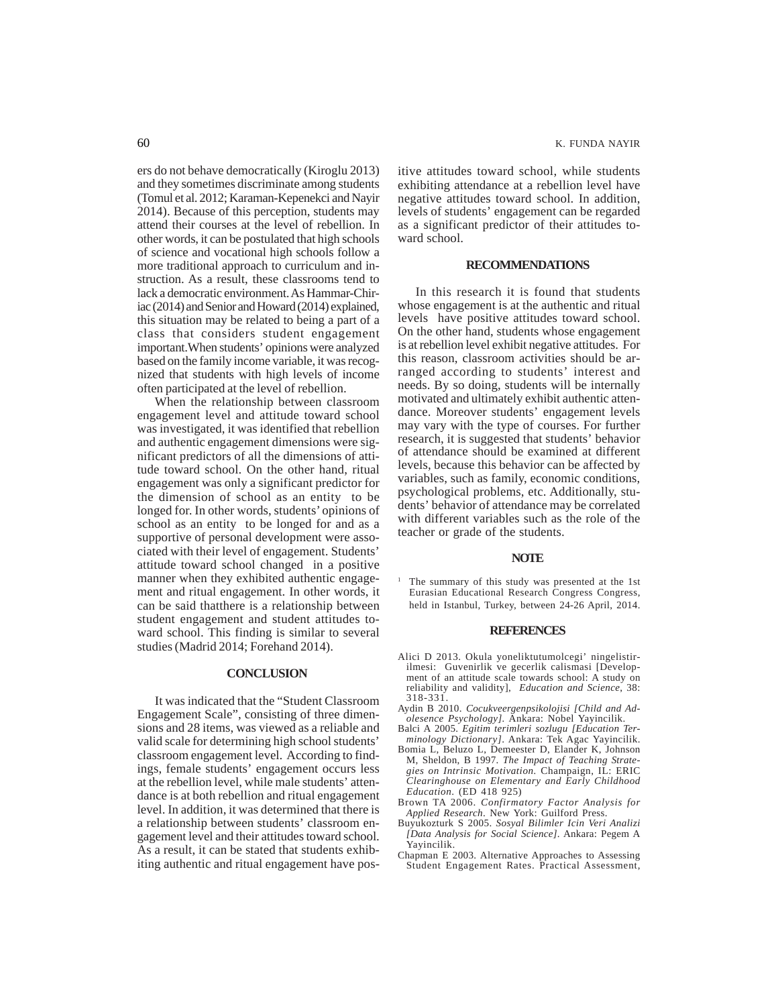ers do not behave democratically (Kiroglu 2013) and they sometimes discriminate among students (Tomul et al. 2012; Karaman-Kepenekci and Nayir 2014). Because of this perception, students may attend their courses at the level of rebellion. In other words, it can be postulated that high schools of science and vocational high schools follow a more traditional approach to curriculum and instruction. As a result, these classrooms tend to lack a democratic environment. As Hammar-Chiriac (2014) and Senior and Howard (2014) explained, this situation may be related to being a part of a class that considers student engagement important.When students' opinions were analyzed based on the family income variable, it was recognized that students with high levels of income often participated at the level of rebellion.

When the relationship between classroom engagement level and attitude toward school was investigated, it was identified that rebellion and authentic engagement dimensions were significant predictors of all the dimensions of attitude toward school. On the other hand, ritual engagement was only a significant predictor for the dimension of school as an entity to be longed for. In other words, students' opinions of school as an entity to be longed for and as a supportive of personal development were associated with their level of engagement. Students' attitude toward school changed in a positive manner when they exhibited authentic engagement and ritual engagement. In other words, it can be said thatthere is a relationship between student engagement and student attitudes toward school. This finding is similar to several studies (Madrid 2014; Forehand 2014).

#### **CONCLUSION**

It was indicated that the "Student Classroom Engagement Scale", consisting of three dimensions and 28 items, was viewed as a reliable and valid scale for determining high school students' classroom engagement level. According to findings, female students' engagement occurs less at the rebellion level, while male students' attendance is at both rebellion and ritual engagement level. In addition, it was determined that there is a relationship between students' classroom engagement level and their attitudes toward school. As a result, it can be stated that students exhibiting authentic and ritual engagement have positive attitudes toward school, while students exhibiting attendance at a rebellion level have negative attitudes toward school. In addition, levels of students' engagement can be regarded as a significant predictor of their attitudes toward school.

## **RECOMMENDATIONS**

In this research it is found that students whose engagement is at the authentic and ritual levels have positive attitudes toward school. On the other hand, students whose engagement is at rebellion level exhibit negative attitudes. For this reason, classroom activities should be arranged according to students' interest and needs. By so doing, students will be internally motivated and ultimately exhibit authentic attendance. Moreover students' engagement levels may vary with the type of courses. For further research, it is suggested that students' behavior of attendance should be examined at different levels, because this behavior can be affected by variables, such as family, economic conditions, psychological problems, etc. Additionally, students' behavior of attendance may be correlated with different variables such as the role of the teacher or grade of the students.

#### **NOTE**

<sup>1</sup> The summary of this study was presented at the 1st Eurasian Educational Research Congress Congress, held in Istanbul, Turkey, between 24-26 April, 2014.

#### **REFERENCES**

- Alici D 2013. Okula yoneliktutumolcegi' ningelistirilmesi: Guvenirlik ve gecerlik calismasi [Development of an attitude scale towards school: A study on reliability and validity], *Education and Science*, 38: 318-331.
- Aydin B 2010. *Cocukveergenpsikolojisi [Child and Adolesence Psychology].* Ankara: Nobel Yayincilik.
- Balci A 2005. *Egitim terimleri sozlugu [Education Terminology Dictionary]*. Ankara: Tek Agac Yayincilik.
- Bomia L, Beluzo L, Demeester D, Elander K, Johnson M, Sheldon, B 1997. *The Impact of Teaching Strategies on Intrinsic Motivation.* Champaign, IL: ERIC *Clearinghouse on Elementary and Early Childhood Education*. (ED 418 925)
- Brown TA 2006. *Confirmatory Factor Analysis for Applied Research*. New York: Guilford Press.
- Buyukozturk S 2005. *Sosyal Bilimler Icin Veri Analizi [Data Analysis for Social Science]*. Ankara: Pegem A Yayincilik.
- Chapman E 2003. Alternative Approaches to Assessing Student Engagement Rates. Practical Assessment,